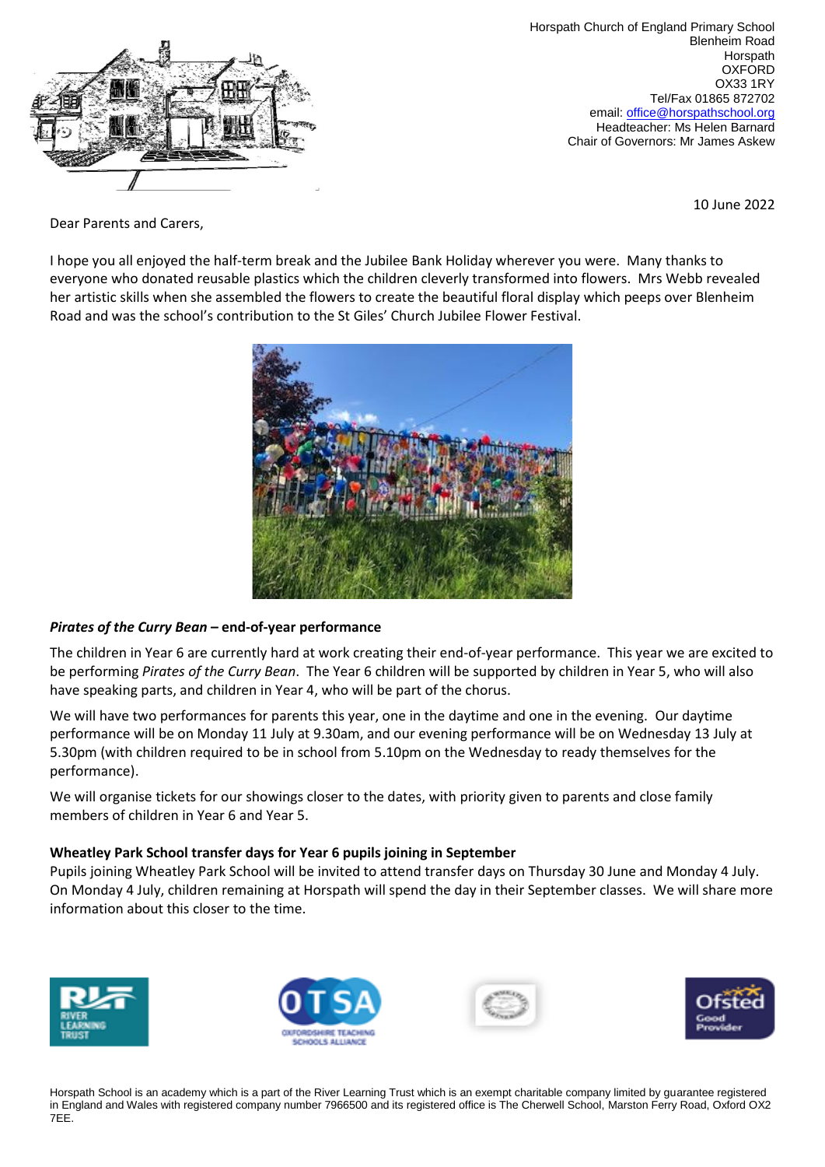

Horspath Church of England Primary School Blenheim Road **Horspath** OXFORD OX33 1RY Tel/Fax 01865 872702 email: [office@horspathschool.org](mailto:office@horspathschool.orgk) Headteacher: Ms Helen Barnard Chair of Governors: Mr James Askew

10 June 2022

Dear Parents and Carers,

I hope you all enjoyed the half-term break and the Jubilee Bank Holiday wherever you were. Many thanks to everyone who donated reusable plastics which the children cleverly transformed into flowers. Mrs Webb revealed her artistic skills when she assembled the flowers to create the beautiful floral display which peeps over Blenheim Road and was the school's contribution to the St Giles' Church Jubilee Flower Festival.



## *Pirates of the Curry Bean* **– end-of-year performance**

The children in Year 6 are currently hard at work creating their end-of-year performance. This year we are excited to be performing *Pirates of the Curry Bean*. The Year 6 children will be supported by children in Year 5, who will also have speaking parts, and children in Year 4, who will be part of the chorus.

We will have two performances for parents this year, one in the daytime and one in the evening. Our daytime performance will be on Monday 11 July at 9.30am, and our evening performance will be on Wednesday 13 July at 5.30pm (with children required to be in school from 5.10pm on the Wednesday to ready themselves for the performance).

We will organise tickets for our showings closer to the dates, with priority given to parents and close family members of children in Year 6 and Year 5.

## **Wheatley Park School transfer days for Year 6 pupils joining in September**

Pupils joining Wheatley Park School will be invited to attend transfer days on Thursday 30 June and Monday 4 July. On Monday 4 July, children remaining at Horspath will spend the day in their September classes. We will share more information about this closer to the time.









Horspath School is an academy which is a part of the River Learning Trust which is an exempt charitable company limited by guarantee registered in England and Wales with registered company number 7966500 and its registered office is The Cherwell School, Marston Ferry Road, Oxford OX2 7EE.